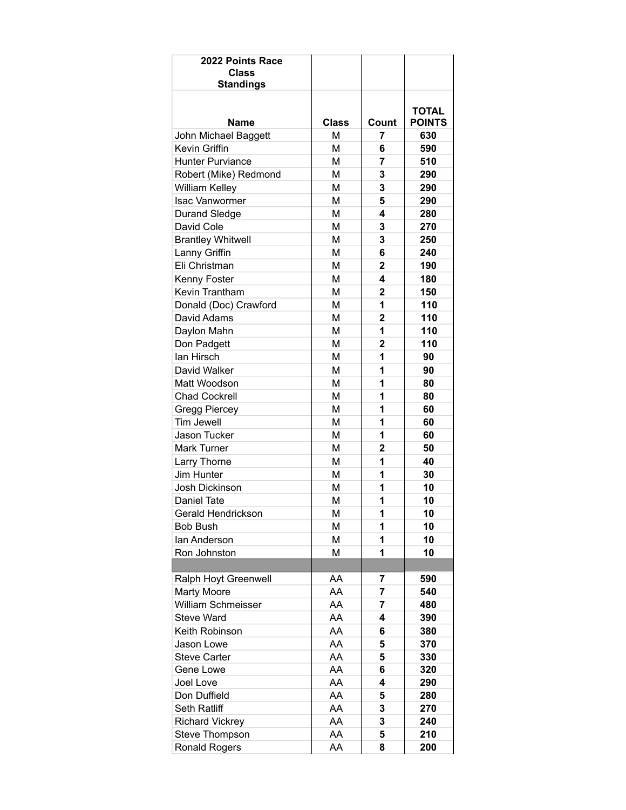| 2022 Points Race<br><b>Class</b><br><b>Standings</b> |              |                |                               |
|------------------------------------------------------|--------------|----------------|-------------------------------|
|                                                      |              |                |                               |
| Name                                                 | <b>Class</b> | Count          | <b>TOTAL</b><br><b>POINTS</b> |
| John Michael Baggett                                 | M            | 7              | 630                           |
| Kevin Griffin                                        | M            | 6              | 590                           |
| <b>Hunter Purviance</b>                              | M            | 7              | 510                           |
| Robert (Mike) Redmond                                | M            | 3              | 290                           |
| <b>William Kelley</b>                                | М            | 3              | 290                           |
| <b>Isac Vanwormer</b>                                | M            | 5              | 290                           |
| <b>Durand Sledge</b>                                 | М            | 4              | 280                           |
| David Cole                                           | M            | 3              | 270                           |
| <b>Brantley Whitwell</b>                             | М            | 3              | 250                           |
| Lanny Griffin                                        | M            | 6              | 240                           |
| Eli Christman                                        | M            | 2              | 190                           |
| Kenny Foster                                         | M            | 4              | 180                           |
| Kevin Trantham                                       | М            | $\overline{2}$ | 150                           |
| Donald (Doc) Crawford                                | M            | 1              | 110                           |
| David Adams                                          | М            | 2              | 110                           |
| Daylon Mahn                                          | М            | 1              | 110                           |
| Don Padgett                                          | М            | 2              | 110                           |
| lan Hirsch                                           | M            | 1              | 90                            |
| David Walker                                         | M            | 1              | 90                            |
| Matt Woodson                                         | M            | 1              | 80                            |
| <b>Chad Cockrell</b>                                 | М            | 1              | 80                            |
| <b>Gregg Piercey</b>                                 | M            | 1              | 60                            |
| Tim Jewell                                           | М            | 1              | 60                            |
| Jason Tucker                                         | M            | 1              | 60                            |
| <b>Mark Turner</b>                                   | М            | 2              | 50                            |
| Larry Thorne                                         | M            | 1              | 40                            |
| Jim Hunter                                           | M            | 1              | 30                            |
| <b>Josh Dickinson</b>                                | М            | 1              | 10                            |
| Daniel Tate                                          | М            | 1              | 10                            |
| Gerald Hendrickson                                   | M            | 1              | 10                            |
| <b>Bob Bush</b>                                      | M            | 1              | 10                            |
| lan Anderson                                         | М            | 1              | 10                            |
| Ron Johnston                                         | М            | 1              | 10                            |
|                                                      |              |                |                               |
| Ralph Hoyt Greenwell                                 | AA           | $\overline{7}$ | 590                           |
| <b>Marty Moore</b>                                   | AA           | 7              | 540                           |
| <b>William Schmeisser</b>                            | AA           | 7              | 480                           |
| <b>Steve Ward</b>                                    | AA           | 4              | 390                           |
| Keith Robinson                                       | AA           | 6              | 380                           |
| Jason Lowe                                           | AA           | 5              | 370                           |
| <b>Steve Carter</b>                                  | AA           | 5              | 330                           |
| Gene Lowe                                            | AA           | 6              | 320                           |
| <b>Joel Love</b>                                     | AA           | 4              | 290                           |
| Don Duffield                                         | AA           | 5              | 280                           |
| Seth Ratliff                                         | AA           | 3              | 270                           |
| <b>Richard Vickrey</b>                               | AA           | 3              | 240                           |
| Steve Thompson                                       | AA           | 5              | 210                           |
| <b>Ronald Rogers</b>                                 | AA           | 8              | 200                           |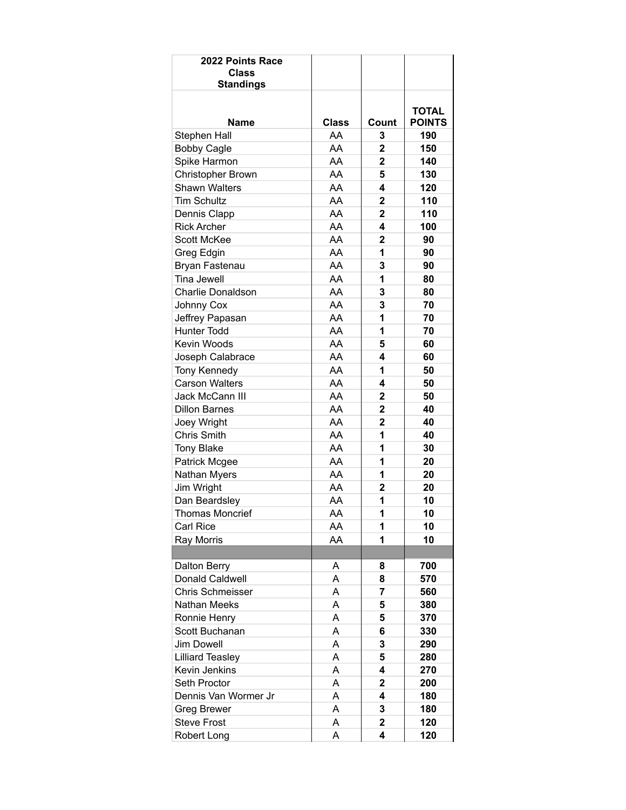| 2022 Points Race<br><b>Class</b><br><b>Standings</b> |       |                         |                               |
|------------------------------------------------------|-------|-------------------------|-------------------------------|
| Name                                                 | Class | Count                   | <b>TOTAL</b><br><b>POINTS</b> |
| Stephen Hall                                         | AA    | 3                       | 190                           |
| <b>Bobby Cagle</b>                                   | AA    | $\mathbf{2}$            | 150                           |
| Spike Harmon                                         | AA    | 2                       | 140                           |
| Christopher Brown                                    | AA    | 5                       | 130                           |
| <b>Shawn Walters</b>                                 | AA    | 4                       | 120                           |
| <b>Tim Schultz</b>                                   | AA    | $\overline{2}$          | 110                           |
| Dennis Clapp                                         | AA    | $\mathbf{2}$            | 110                           |
| <b>Rick Archer</b>                                   | AA    | 4                       | 100                           |
| Scott McKee                                          | AA    | 2                       | 90                            |
| Greg Edgin                                           | AA    | 1                       | 90                            |
| Bryan Fastenau                                       | AA    | 3                       | 90                            |
| <b>Tina Jewell</b>                                   | AA    | 1                       | 80                            |
| Charlie Donaldson                                    | AA    | 3                       | 80                            |
| Johnny Cox                                           | AA    | 3                       | 70                            |
| Jeffrey Papasan                                      | AA    | 1                       | 70                            |
| <b>Hunter Todd</b>                                   | AA    | 1                       | 70                            |
| Kevin Woods                                          | AA    | 5                       | 60                            |
| Joseph Calabrace                                     | AA    | 4                       | 60                            |
| Tony Kennedy                                         | AA    | 1                       | 50                            |
| <b>Carson Walters</b>                                | AA    | 4                       | 50                            |
| Jack McCann III                                      | AA    | $\overline{2}$          | 50                            |
| <b>Dillon Barnes</b>                                 | AA    | $\overline{2}$          | 40                            |
| Joey Wright                                          | AA    | 2                       | 40                            |
| Chris Smith                                          | AA    | 1                       | 40                            |
| <b>Tony Blake</b>                                    | AA    | 1                       | 30                            |
| Patrick Mcgee                                        | AA    | 1                       | 20                            |
| Nathan Myers                                         | AA    | 1                       | 20                            |
| Jim Wright                                           | AA    | $\overline{2}$          | 20                            |
| Dan Beardsley                                        | AA    | 1                       | 10                            |
| Thomas Moncrief                                      | AA    | 1                       | 10                            |
| <b>Carl Rice</b>                                     | AA    | 1                       | 10                            |
| Ray Morris                                           | AA    | 1                       | 10                            |
|                                                      |       |                         |                               |
| Dalton Berry                                         | Α     | 8                       | 700                           |
| <b>Donald Caldwell</b>                               | Α     | 8                       | 570                           |
| Chris Schmeisser                                     | A     | 7                       | 560                           |
| <b>Nathan Meeks</b>                                  | A     | 5                       | 380                           |
| Ronnie Henry                                         | A     | 5                       | 370                           |
| Scott Buchanan                                       | Α     | 6                       | 330                           |
| Jim Dowell                                           | Α     | 3                       | 290                           |
| <b>Lilliard Teasley</b>                              | Α     | 5                       | 280                           |
| Kevin Jenkins                                        | A     | 4                       | 270                           |
| Seth Proctor                                         | Α     | 2                       | 200                           |
| Dennis Van Wormer Jr                                 | A     | 4                       | 180                           |
| <b>Greg Brewer</b>                                   | A     | 3                       | 180                           |
| <b>Steve Frost</b>                                   | А     | $\overline{\mathbf{2}}$ | 120                           |
| Robert Long                                          | Α     | 4                       | 120                           |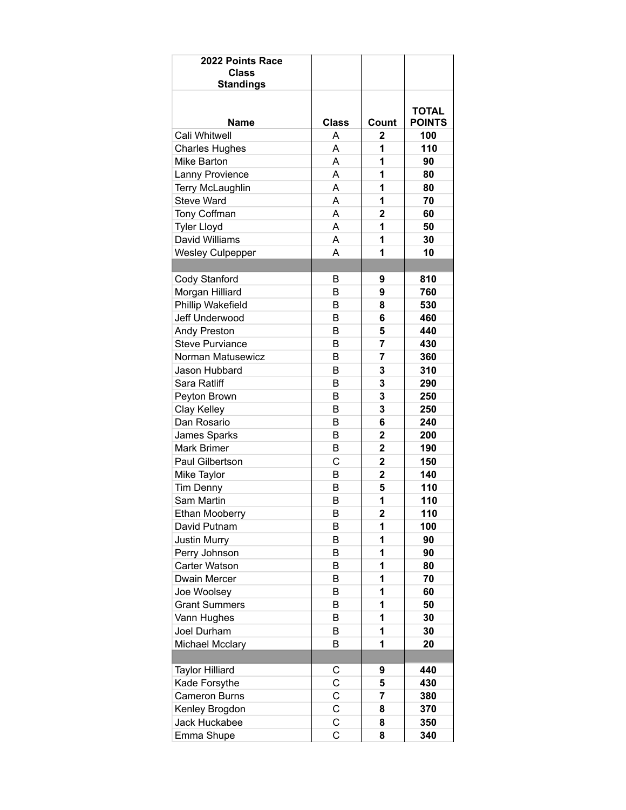| 2022 Points Race<br><b>Class</b><br><b>Standings</b> |                |                         |                               |
|------------------------------------------------------|----------------|-------------------------|-------------------------------|
| <b>Name</b>                                          | <b>Class</b>   | Count                   | <b>TOTAL</b><br><b>POINTS</b> |
| Cali Whitwell                                        | Α              | 2                       | 100                           |
| <b>Charles Hughes</b>                                | A              | 1                       | 110                           |
| Mike Barton                                          | A              | 1                       | 90                            |
| Lanny Provience                                      | A              | 1                       | 80                            |
| Terry McLaughlin                                     | A              | 1                       | 80                            |
| <b>Steve Ward</b>                                    | A              | 1                       | 70                            |
|                                                      | A              | 2                       | 60                            |
| Tony Coffman                                         | A              | 1                       | 50                            |
| <b>Tyler Lloyd</b><br>David Williams                 | A              | 1                       | 30                            |
|                                                      | A              | 1                       | 10                            |
| <b>Wesley Culpepper</b>                              |                |                         |                               |
|                                                      |                | 9                       | 810                           |
| Cody Stanford                                        | B              |                         |                               |
| Morgan Hilliard                                      | B              | 9                       | 760                           |
| Phillip Wakefield                                    | B              | 8                       | 530                           |
| Jeff Underwood                                       | B              | 6                       | 460                           |
| <b>Andy Preston</b>                                  | B              | 5                       | 440                           |
| <b>Steve Purviance</b>                               | B              | 7                       | 430                           |
| Norman Matusewicz                                    | B              | 7                       | 360                           |
| Jason Hubbard                                        | B              | 3                       | 310                           |
| Sara Ratliff                                         | B              | 3                       | 290                           |
| Peyton Brown                                         | B              | 3                       | 250                           |
| Clay Kelley                                          | B              | 3                       | 250                           |
| Dan Rosario                                          | B              | 6                       | 240                           |
| James Sparks                                         | B              | 2                       | 200                           |
| Mark Brimer                                          | B              | 2                       | 190                           |
| Paul Gilbertson                                      | C              | $\overline{\mathbf{2}}$ | 150                           |
| Mike Taylor                                          | B              | $\mathbf{2}$            | 140                           |
| <b>Tim Denny</b>                                     | B              | 5                       | 110                           |
| Sam Martin                                           | B              | 1                       | 110                           |
| Ethan Mooberry                                       | B              | $\overline{\mathbf{2}}$ | 110                           |
| David Putnam                                         | B              | 1                       | 100                           |
| <b>Justin Murry</b>                                  | B              | 1                       | 90                            |
| Perry Johnson                                        | B              | 1                       | 90                            |
| Carter Watson                                        | B              | 1                       | 80                            |
| Dwain Mercer                                         | B              | 1                       | 70                            |
| Joe Woolsey                                          | B              | 1                       | 60                            |
| <b>Grant Summers</b>                                 | B              | 1                       | 50                            |
| Vann Hughes                                          | B              | 1                       | 30                            |
| Joel Durham                                          | B              | 1                       | 30                            |
| <b>Michael Mcclary</b>                               | B              | 1                       | 20                            |
|                                                      |                |                         |                               |
| <b>Taylor Hilliard</b>                               | С              | 9                       | 440                           |
| Kade Forsythe                                        | C              | 5                       | 430                           |
| <b>Cameron Burns</b>                                 | C              | 7                       | 380                           |
| Kenley Brogdon                                       | C              | 8                       | 370                           |
| Jack Huckabee                                        | C              | 8                       | 350                           |
| Emma Shupe                                           | $\overline{C}$ | 8                       | 340                           |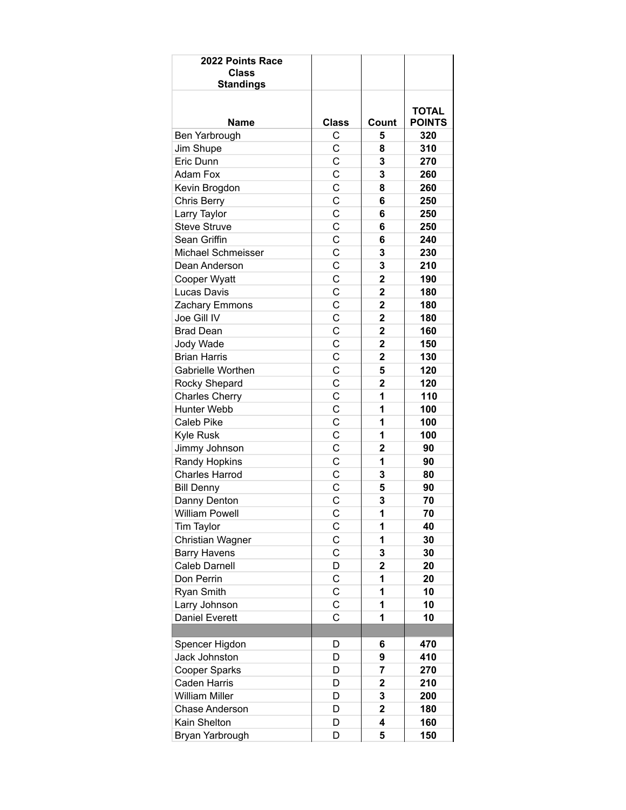| 2022 Points Race<br><b>Class</b><br><b>Standings</b> |                |                         |                               |
|------------------------------------------------------|----------------|-------------------------|-------------------------------|
|                                                      |                |                         |                               |
| <b>Name</b>                                          | <b>Class</b>   | Count                   | <b>TOTAL</b><br><b>POINTS</b> |
| Ben Yarbrough                                        | С              | 5                       | 320                           |
| Jim Shupe                                            | C              | 8                       | 310                           |
| Eric Dunn                                            | $\mathbf C$    | 3                       | 270                           |
| <b>Adam Fox</b>                                      | C              | 3                       | 260                           |
| Kevin Brogdon                                        | $\mathsf C$    | 8                       | 260                           |
| <b>Chris Berry</b>                                   | $\overline{C}$ | 6                       | 250                           |
| Larry Taylor                                         | C              | 6                       | 250                           |
| <b>Steve Struve</b>                                  | C              | 6                       | 250                           |
| Sean Griffin                                         | C              | 6                       | 240                           |
| Michael Schmeisser                                   | $\mathsf{C}$   | 3                       | 230                           |
| Dean Anderson                                        | Ċ              | 3                       | 210                           |
| Cooper Wyatt                                         | C              | $\overline{2}$          | 190                           |
| Lucas Davis                                          | $\mathsf C$    | $\overline{2}$          | 180                           |
| Zachary Emmons                                       | C              | $\mathbf{2}$            | 180                           |
| Joe Gill IV                                          | C              | $\overline{2}$          | 180                           |
| <b>Brad Dean</b>                                     | C              | $\overline{\mathbf{2}}$ | 160                           |
| Jody Wade                                            | C              | $\overline{\mathbf{2}}$ | 150                           |
| <b>Brian Harris</b>                                  | $\mathsf{C}$   | $\mathbf{2}$            | 130                           |
| Gabrielle Worthen                                    | C              | 5                       | 120                           |
| Rocky Shepard                                        | C              | $\overline{2}$          | 120                           |
| <b>Charles Cherry</b>                                | $\mathsf C$    | 1                       | 110                           |
| <b>Hunter Webb</b>                                   | $\overline{C}$ | 1                       | 100                           |
| Caleb Pike                                           | C              | 1                       | 100                           |
| Kyle Rusk                                            | C              | 1                       | 100                           |
| Jimmy Johnson                                        | C              | 2                       | 90                            |
| Randy Hopkins                                        | C              | 1                       | 90                            |
| <b>Charles Harrod</b>                                | Ċ              | 3                       | 80                            |
| <b>Bill Denny</b>                                    | C              | 5                       | 90                            |
| Danny Denton                                         | C              | 3                       | 70                            |
| William Powell                                       | $\overline{C}$ | 1                       | 70                            |
| Tim Taylor                                           | C              | 1                       | 40                            |
| Christian Wagner                                     | C              | 1                       | 30                            |
| <b>Barry Havens</b>                                  | С              | 3                       | 30                            |
| Caleb Darnell                                        | D              | $\mathbf 2$             | 20                            |
| Don Perrin                                           | C              | 1                       | 20                            |
| Ryan Smith                                           | $\mathsf C$    | 1                       | 10                            |
| Larry Johnson                                        | C              | 1                       | 10                            |
| Daniel Everett                                       | C              | 1                       | 10                            |
|                                                      |                |                         |                               |
| Spencer Higdon                                       | D              | 6                       | 470                           |
| Jack Johnston                                        | D              | 9                       | 410                           |
| Cooper Sparks                                        | D              | 7                       | 270                           |
| <b>Caden Harris</b>                                  | D              | $\overline{\mathbf{c}}$ | 210                           |
| <b>William Miller</b>                                | D              | 3                       | 200                           |
| Chase Anderson                                       | D              | $\overline{\mathbf{2}}$ | 180                           |
| Kain Shelton                                         | D              | 4                       | 160                           |
| Bryan Yarbrough                                      | D              | 5                       | 150                           |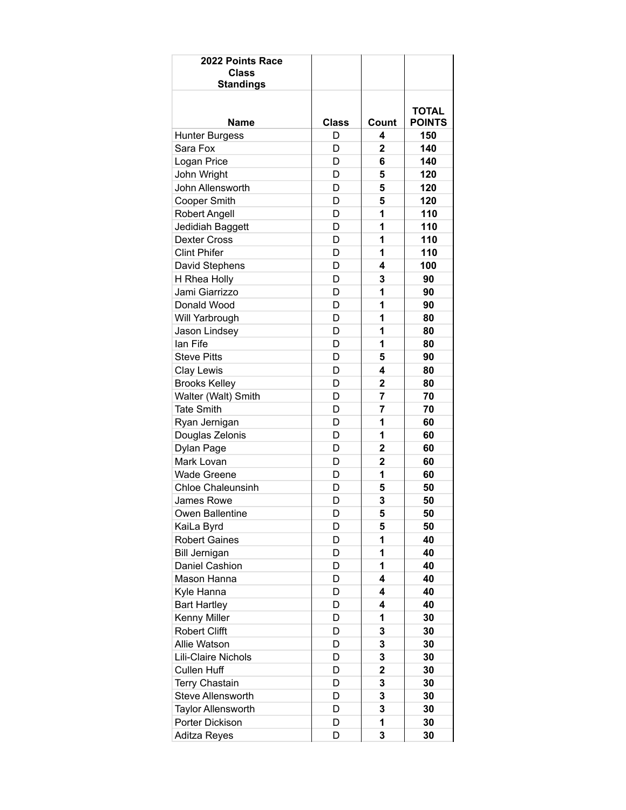| 2022 Points Race<br><b>Class</b><br><b>Standings</b> |              |                         |                               |
|------------------------------------------------------|--------------|-------------------------|-------------------------------|
| Name                                                 | <b>Class</b> | Count                   | <b>TOTAL</b><br><b>POINTS</b> |
| <b>Hunter Burgess</b>                                | D            | 4                       | 150                           |
| Sara Fox                                             | D            | $\overline{2}$          | 140                           |
| Logan Price                                          | D            | 6                       | 140                           |
| John Wright                                          | D            | 5                       | 120                           |
| John Allensworth                                     | D            | 5                       | 120                           |
| <b>Cooper Smith</b>                                  | D            | 5                       | 120                           |
| <b>Robert Angell</b>                                 | D            | 1                       | 110                           |
| Jedidiah Baggett                                     | D            | 1                       | 110                           |
| <b>Dexter Cross</b>                                  | D            | 1                       | 110                           |
| <b>Clint Phifer</b>                                  | D            | 1                       | 110                           |
| David Stephens                                       | D            | 4                       | 100                           |
| H Rhea Holly                                         | D            | 3                       | 90                            |
| Jami Giarrizzo                                       | D            | 1                       | 90                            |
| Donald Wood                                          | D            | 1                       | 90                            |
| Will Yarbrough                                       | D            | 1                       | 80                            |
| Jason Lindsey                                        | D            | 1                       | 80                            |
| lan Fife                                             | D            | 1                       | 80                            |
| <b>Steve Pitts</b>                                   | D            | 5                       | 90                            |
| Clay Lewis                                           | D            | 4                       | 80                            |
| <b>Brooks Kelley</b>                                 | D            | $\overline{2}$          | 80                            |
| Walter (Walt) Smith                                  | D            | 7                       | 70                            |
| <b>Tate Smith</b>                                    | D            | 7                       | 70                            |
| Ryan Jernigan                                        | D            | 1                       | 60                            |
| Douglas Zelonis                                      | D            | 1                       | 60                            |
| Dylan Page                                           | D            | $\mathbf{2}$            | 60                            |
| Mark Lovan                                           | D            | $\overline{2}$          | 60                            |
| <b>Wade Greene</b>                                   | D            | 1                       | 60                            |
| <b>Chloe Chaleunsinh</b>                             | D            | 5                       | 50                            |
| James Rowe                                           | D            | 3                       | 50                            |
| Owen Ballentine                                      | D            | 5                       | 50                            |
| KaiLa Byrd                                           | D            | 5                       | 50                            |
| <b>Robert Gaines</b>                                 | D            | 1                       | 40                            |
| <b>Bill Jernigan</b>                                 | D            | 1                       | 40                            |
| Daniel Cashion                                       | D            | 1                       | 40                            |
| Mason Hanna                                          | D            | 4                       | 40                            |
| Kyle Hanna                                           | D            | 4                       | 40                            |
| <b>Bart Hartley</b>                                  | D            | 4                       | 40                            |
| Kenny Miller                                         | D            | 1                       | 30                            |
| <b>Robert Clifft</b>                                 | D            | 3                       | 30                            |
| Allie Watson                                         | D            | 3                       | 30                            |
| Lili-Claire Nichols                                  | D            | 3                       | 30                            |
| <b>Cullen Huff</b>                                   | D            | $\overline{\mathbf{2}}$ | 30                            |
| <b>Terry Chastain</b>                                | D            | 3                       | 30                            |
| Steve Allensworth                                    | D            | 3                       | 30                            |
| Taylor Allensworth                                   | D            | 3                       | 30                            |
| Porter Dickison                                      | D            | 1                       | 30                            |
| Aditza Reyes                                         | D            | 3                       | 30                            |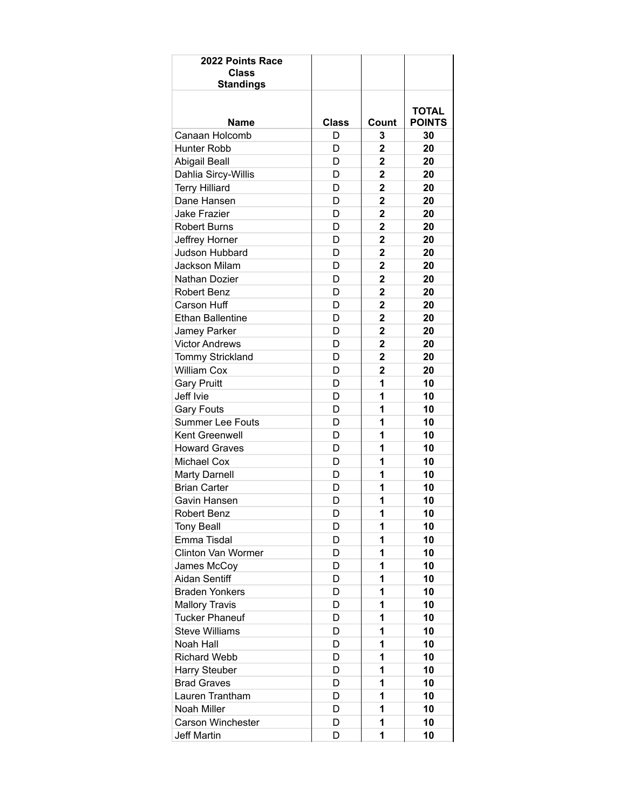| 2022 Points Race<br><b>Class</b><br><b>Standings</b> |              |                |                               |
|------------------------------------------------------|--------------|----------------|-------------------------------|
|                                                      |              |                |                               |
| Name                                                 | <b>Class</b> | Count          | <b>TOTAL</b><br><b>POINTS</b> |
| Canaan Holcomb                                       | D            | 3              | 30                            |
| Hunter Robb                                          | D            | $\overline{2}$ | 20                            |
| <b>Abigail Beall</b>                                 | D            | 2              | 20                            |
| Dahlia Sircy-Willis                                  | D            | $\overline{2}$ | 20                            |
| <b>Terry Hilliard</b>                                | D            | $\overline{2}$ | 20                            |
| Dane Hansen                                          | D            | $\overline{2}$ | 20                            |
| <b>Jake Frazier</b>                                  | D            | $\mathbf{2}$   | 20                            |
| <b>Robert Burns</b>                                  | D            | $\overline{2}$ | 20                            |
| Jeffrey Horner                                       | D            | 2              | 20                            |
| Judson Hubbard                                       | D            | $\overline{2}$ | 20                            |
| <b>Jackson Milam</b>                                 | D            | 2              | 20                            |
| Nathan Dozier                                        | D            | $\overline{2}$ | 20                            |
| <b>Robert Benz</b>                                   | D            | $\overline{2}$ | 20                            |
| <b>Carson Huff</b>                                   | D            | $\overline{2}$ | 20                            |
| <b>Ethan Ballentine</b>                              | D            | $\mathbf{2}$   | 20                            |
| Jamey Parker                                         | D            | $\mathbf{2}$   | 20                            |
| <b>Victor Andrews</b>                                | D            | 2              | 20                            |
| Tommy Strickland                                     | D            | $\overline{2}$ | 20                            |
| <b>William Cox</b>                                   | D            | $\mathbf{2}$   | 20                            |
| <b>Gary Pruitt</b>                                   | D            | 1              | 10                            |
| Jeff Ivie                                            | D            | 1              | 10                            |
| <b>Gary Fouts</b>                                    | D            | 1              | 10                            |
| <b>Summer Lee Fouts</b>                              | D            | 1              | 10                            |
| Kent Greenwell                                       | D            | 1              | 10                            |
| <b>Howard Graves</b>                                 | D            | 1              | 10                            |
| Michael Cox                                          | D            | 1              | 10                            |
| <b>Marty Darnell</b>                                 | D            | 1              | 10                            |
| <b>Brian Carter</b>                                  | D            | 1              | 10                            |
| Gavin Hansen                                         | D            | 1              | 10                            |
| Robert Benz                                          | D            | Ί              | 10                            |
| <b>Tony Beall</b>                                    | D            | 1              | 10                            |
| Emma Tisdal                                          | D            | 1              | 10                            |
| Clinton Van Wormer                                   | D            | 1              | 10                            |
| James McCoy                                          | D            | 1              | 10                            |
| Aidan Sentiff                                        | D            | 1              | 10                            |
| <b>Braden Yonkers</b>                                | D            | 1              | 10                            |
| <b>Mallory Travis</b>                                | D            | 1              | 10                            |
| <b>Tucker Phaneuf</b>                                | D            | 1              | 10                            |
| <b>Steve Williams</b>                                | D            | 1              | 10                            |
| Noah Hall                                            | D            | 1              | 10                            |
| <b>Richard Webb</b>                                  | D            | 1              | 10                            |
| <b>Harry Steuber</b>                                 | D            | 1              | 10                            |
| <b>Brad Graves</b>                                   | D            | 1              | 10                            |
| Lauren Trantham                                      | D            | 1              | 10                            |
| Noah Miller                                          | D            | 1              | 10                            |
| <b>Carson Winchester</b>                             | D            | 1              | 10                            |
| <b>Jeff Martin</b>                                   | D            | 1              | 10                            |